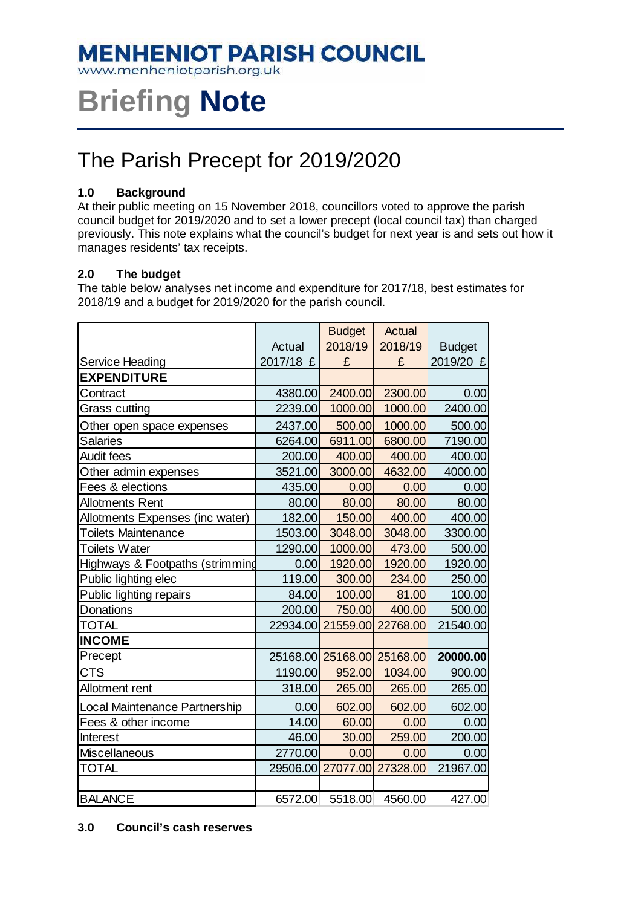## **MENHENIOT PARISH COUNCIL**

www.menheniotparish.org.uk

# **Briefing Note**

## The Parish Precept for 2019/2020

### **1.0 Background**

At their public meeting on 15 November 2018, councillors voted to approve the parish council budget for 2019/2020 and to set a lower precept (local council tax) than charged previously. This note explains what the council's budget for next year is and sets out how it manages residents' tax receipts.

### **2.0 The budget**

The table below analyses net income and expenditure for 2017/18, best estimates for 2018/19 and a budget for 2019/2020 for the parish council.

|                                 |           | <b>Budget</b>              | <b>Actual</b> |               |
|---------------------------------|-----------|----------------------------|---------------|---------------|
|                                 | Actual    | 2018/19                    | 2018/19       | <b>Budget</b> |
| Service Heading                 | 2017/18 £ | £                          | £             | 2019/20 £     |
| <b>EXPENDITURE</b>              |           |                            |               |               |
| Contract                        | 4380.00   | 2400.00                    | 2300.00       | 0.00          |
| Grass cutting                   | 2239.00   | 1000.00                    | 1000.00       | 2400.00       |
| Other open space expenses       | 2437.00   | 500.00                     | 1000.00       | 500.00        |
| <b>Salaries</b>                 | 6264.00   | 6911.00                    | 6800.00       | 7190.00       |
| <b>Audit fees</b>               | 200.00    | 400.00                     | 400.00        | 400.00        |
| Other admin expenses            | 3521.00   | 3000.00                    | 4632.00       | 4000.00       |
| Fees & elections                | 435.00    | 0.00                       | 0.00          | 0.00          |
| <b>Allotments Rent</b>          | 80.00     | 80.00                      | 80.00         | 80.00         |
| Allotments Expenses (inc water) | 182.00    | 150.00                     | 400.00        | 400.00        |
| <b>Toilets Maintenance</b>      | 1503.00   | 3048.00                    | 3048.00       | 3300.00       |
| <b>Toilets Water</b>            | 1290.00   | 1000.00                    | 473.00        | 500.00        |
| Highways & Footpaths (strimming | 0.00      | 1920.00                    | 1920.00       | 1920.00       |
| Public lighting elec            | 119.00    | 300.00                     | 234.00        | 250.00        |
| Public lighting repairs         | 84.00     | 100.00                     | 81.00         | 100.00        |
| Donations                       | 200.00    | 750.00                     | 400.00        | 500.00        |
| <b>TOTAL</b>                    |           | 22934.00 21559.00          | 22768.00      | 21540.00      |
| <b>INCOME</b>                   |           |                            |               |               |
| Precept                         |           | 25168.00 25168.00 25168.00 |               | 20000.00      |
| <b>CTS</b>                      | 1190.00   | 952.00                     | 1034.00       | 900.00        |
| Allotment rent                  | 318.00    | 265.00                     | 265.00        | 265.00        |
| Local Maintenance Partnership   | 0.00      | 602.00                     | 602.00        | 602.00        |
| Fees & other income             | 14.00     | 60.00                      | 0.00          | 0.00          |
| <b>Interest</b>                 | 46.00     | 30.00                      | 259.00        | 200.00        |
| <b>Miscellaneous</b>            | 2770.00   | 0.00                       | 0.00          | 0.00          |
| <b>TOTAL</b>                    |           | 29506.00 27077.00 27328.00 |               | 21967.00      |
|                                 |           |                            |               |               |
| <b>BALANCE</b>                  | 6572.00   | 5518.00                    | 4560.00       | 427.00        |